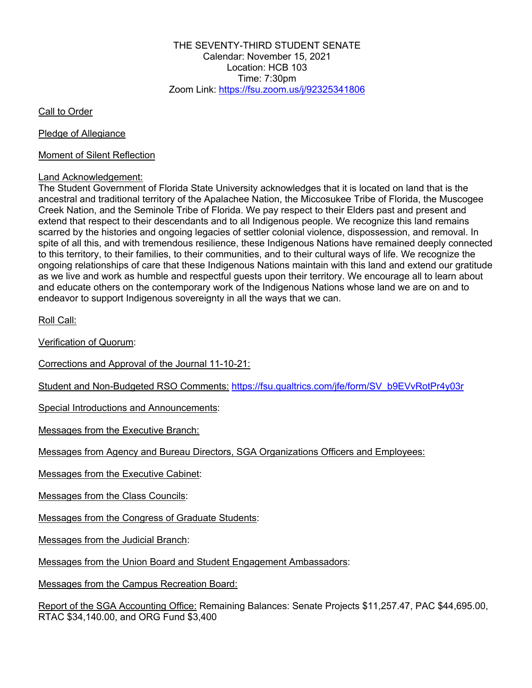THE SEVENTY-THIRD STUDENT SENATE Calendar: November 15, 2021 Location: HCB 103 Time: 7:30pm Zoom Link: https://fsu.zoom.us/j/92325341806

Call to Order

Pledge of Allegiance

Moment of Silent Reflection

#### Land Acknowledgement:

The Student Government of Florida State University acknowledges that it is located on land that is the ancestral and traditional territory of the Apalachee Nation, the Miccosukee Tribe of Florida, the Muscogee Creek Nation, and the Seminole Tribe of Florida. We pay respect to their Elders past and present and extend that respect to their descendants and to all Indigenous people. We recognize this land remains scarred by the histories and ongoing legacies of settler colonial violence, dispossession, and removal. In spite of all this, and with tremendous resilience, these Indigenous Nations have remained deeply connected to this territory, to their families, to their communities, and to their cultural ways of life. We recognize the ongoing relationships of care that these Indigenous Nations maintain with this land and extend our gratitude as we live and work as humble and respectful guests upon their territory. We encourage all to learn about and educate others on the contemporary work of the Indigenous Nations whose land we are on and to endeavor to support Indigenous sovereignty in all the ways that we can.

Roll Call:

Verification of Quorum:

Corrections and Approval of the Journal 11-10-21:

Student and Non-Budgeted RSO Comments: https://fsu.qualtrics.com/jfe/form/SV\_b9EVvRotPr4y03r

Special Introductions and Announcements:

Messages from the Executive Branch:

Messages from Agency and Bureau Directors, SGA Organizations Officers and Employees:

Messages from the Executive Cabinet:

Messages from the Class Councils:

Messages from the Congress of Graduate Students:

Messages from the Judicial Branch:

Messages from the Union Board and Student Engagement Ambassadors:

Messages from the Campus Recreation Board:

Report of the SGA Accounting Office: Remaining Balances: Senate Projects \$11,257.47, PAC \$44,695.00, RTAC \$34,140.00, and ORG Fund \$3,400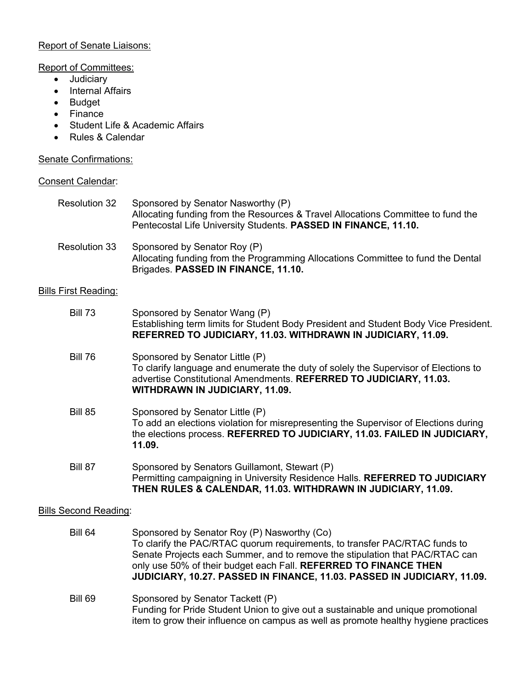## Report of Senate Liaisons:

#### Report of Committees:

- Judiciary
- Internal Affairs
- Budget
- Finance
- Student Life & Academic Affairs
- Rules & Calendar

# Senate Confirmations:

#### Consent Calendar:

| <b>Resolution 32</b> | Sponsored by Senator Nasworthy (P)<br>Allocating funding from the Resources & Travel Allocations Committee to fund the<br>Pentecostal Life University Students. PASSED IN FINANCE, 11.10. |
|----------------------|-------------------------------------------------------------------------------------------------------------------------------------------------------------------------------------------|
| Resolution 33        | Sponsored by Senator Roy (P)<br>Allocating funding from the Programming Allocations Committee to fund the Dental<br>Brigades. PASSED IN FINANCE, 11.10.                                   |

## Bills First Reading:

| <b>Bill 73</b>               | Sponsored by Senator Wang (P)<br>Establishing term limits for Student Body President and Student Body Vice President.<br>REFERRED TO JUDICIARY, 11.03. WITHDRAWN IN JUDICIARY, 11.09.                                                                                                                                                                    |  |
|------------------------------|----------------------------------------------------------------------------------------------------------------------------------------------------------------------------------------------------------------------------------------------------------------------------------------------------------------------------------------------------------|--|
| <b>Bill 76</b>               | Sponsored by Senator Little (P)<br>To clarify language and enumerate the duty of solely the Supervisor of Elections to<br>advertise Constitutional Amendments. REFERRED TO JUDICIARY, 11.03.<br><b>WITHDRAWN IN JUDICIARY, 11.09.</b>                                                                                                                    |  |
| <b>Bill 85</b>               | Sponsored by Senator Little (P)<br>To add an elections violation for misrepresenting the Supervisor of Elections during<br>the elections process. REFERRED TO JUDICIARY, 11.03. FAILED IN JUDICIARY,<br>11.09.                                                                                                                                           |  |
| <b>Bill 87</b>               | Sponsored by Senators Guillamont, Stewart (P)<br>Permitting campaigning in University Residence Halls. REFERRED TO JUDICIARY<br>THEN RULES & CALENDAR, 11.03. WITHDRAWN IN JUDICIARY, 11.09.                                                                                                                                                             |  |
| <b>Bills Second Reading:</b> |                                                                                                                                                                                                                                                                                                                                                          |  |
| <b>Bill 64</b>               | Sponsored by Senator Roy (P) Nasworthy (Co)<br>To clarify the PAC/RTAC quorum requirements, to transfer PAC/RTAC funds to<br>Senate Projects each Summer, and to remove the stipulation that PAC/RTAC can<br>only use 50% of their budget each Fall. REFERRED TO FINANCE THEN<br>JUDICIARY, 10.27. PASSED IN FINANCE, 11.03. PASSED IN JUDICIARY, 11.09. |  |

Bill 69 Sponsored by Senator Tackett (P) Funding for Pride Student Union to give out a sustainable and unique promotional item to grow their influence on campus as well as promote healthy hygiene practices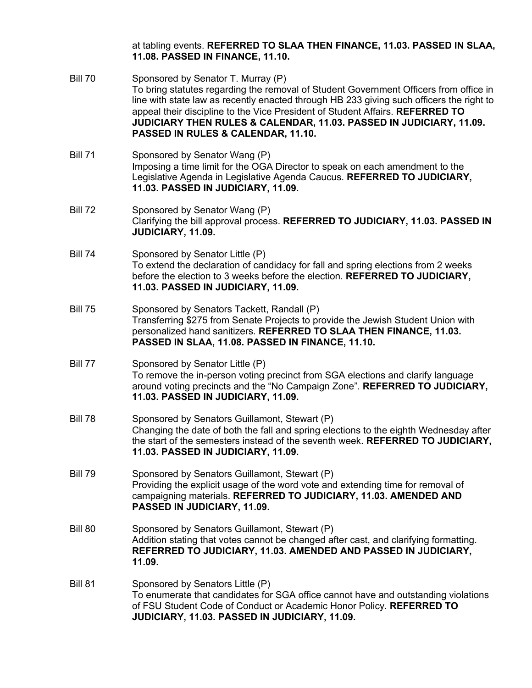at tabling events. **REFERRED TO SLAA THEN FINANCE, 11.03. PASSED IN SLAA, 11.08. PASSED IN FINANCE, 11.10.**

- Bill 70 Sponsored by Senator T. Murray (P) To bring statutes regarding the removal of Student Government Officers from office in line with state law as recently enacted through HB 233 giving such officers the right to appeal their discipline to the Vice President of Student Affairs. **REFERRED TO JUDICIARY THEN RULES & CALENDAR, 11.03. PASSED IN JUDICIARY, 11.09. PASSED IN RULES & CALENDAR, 11.10.**
- Bill 71 Sponsored by Senator Wang (P) Imposing a time limit for the OGA Director to speak on each amendment to the Legislative Agenda in Legislative Agenda Caucus. **REFERRED TO JUDICIARY, 11.03. PASSED IN JUDICIARY, 11.09.**
- Bill 72 Sponsored by Senator Wang (P) Clarifying the bill approval process. **REFERRED TO JUDICIARY, 11.03. PASSED IN JUDICIARY, 11.09.**
- Bill 74 Sponsored by Senator Little (P) To extend the declaration of candidacy for fall and spring elections from 2 weeks before the election to 3 weeks before the election. **REFERRED TO JUDICIARY, 11.03. PASSED IN JUDICIARY, 11.09.**
- Bill 75 Sponsored by Senators Tackett, Randall (P) Transferring \$275 from Senate Projects to provide the Jewish Student Union with personalized hand sanitizers. **REFERRED TO SLAA THEN FINANCE, 11.03. PASSED IN SLAA, 11.08. PASSED IN FINANCE, 11.10.**
- Bill 77 Sponsored by Senator Little (P) To remove the in-person voting precinct from SGA elections and clarify language around voting precincts and the "No Campaign Zone". **REFERRED TO JUDICIARY, 11.03. PASSED IN JUDICIARY, 11.09.**
- Bill 78 Sponsored by Senators Guillamont, Stewart (P) Changing the date of both the fall and spring elections to the eighth Wednesday after the start of the semesters instead of the seventh week. **REFERRED TO JUDICIARY, 11.03. PASSED IN JUDICIARY, 11.09.**
- Bill 79 Sponsored by Senators Guillamont, Stewart (P) Providing the explicit usage of the word vote and extending time for removal of campaigning materials. **REFERRED TO JUDICIARY, 11.03. AMENDED AND PASSED IN JUDICIARY, 11.09.**
- Bill 80 Sponsored by Senators Guillamont, Stewart (P) Addition stating that votes cannot be changed after cast, and clarifying formatting. **REFERRED TO JUDICIARY, 11.03. AMENDED AND PASSED IN JUDICIARY, 11.09.**
- Bill 81 Sponsored by Senators Little (P) To enumerate that candidates for SGA office cannot have and outstanding violations of FSU Student Code of Conduct or Academic Honor Policy. **REFERRED TO JUDICIARY, 11.03. PASSED IN JUDICIARY, 11.09.**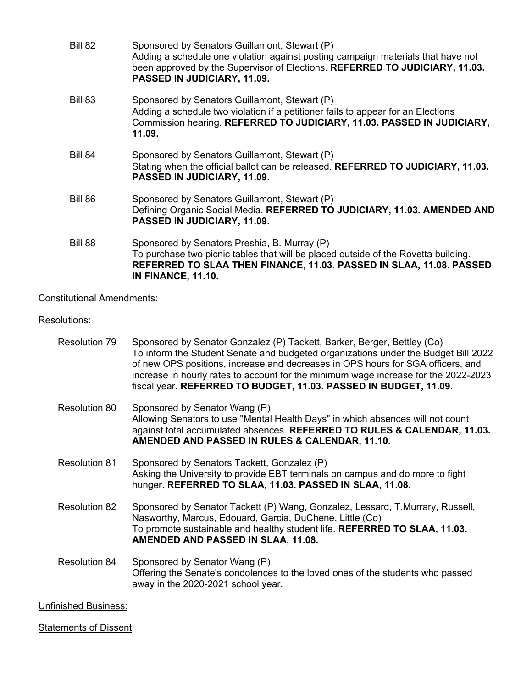| Bill 82        | Sponsored by Senators Guillamont, Stewart (P)<br>Adding a schedule one violation against posting campaign materials that have not<br>been approved by the Supervisor of Elections. REFERRED TO JUDICIARY, 11.03.<br>PASSED IN JUDICIARY, 11.09. |
|----------------|-------------------------------------------------------------------------------------------------------------------------------------------------------------------------------------------------------------------------------------------------|
| <b>Bill 83</b> | Sponsored by Senators Guillamont, Stewart (P)<br>Adding a schedule two violation if a petitioner fails to appear for an Elections<br>Commission hearing. REFERRED TO JUDICIARY, 11.03. PASSED IN JUDICIARY,<br>11.09.                           |
| Bill 84        | Sponsored by Senators Guillamont, Stewart (P)<br>Stating when the official ballot can be released. REFERRED TO JUDICIARY, 11.03.<br>PASSED IN JUDICIARY, 11.09.                                                                                 |
| Bill 86        | Sponsored by Senators Guillamont, Stewart (P)<br>Defining Organic Social Media. REFERRED TO JUDICIARY, 11.03. AMENDED AND<br>PASSED IN JUDICIARY, 11.09.                                                                                        |
| Bill 88        | Sponsored by Senators Preshia, B. Murray (P)<br>To purchase two picnic tables that will be placed outside of the Rovetta building.<br>REFERRED TO SLAA THEN FINANCE, 11.03. PASSED IN SLAA, 11.08. PASSED<br><b>IN FINANCE, 11.10.</b>          |

# Constitutional Amendments:

## Resolutions:

| Resolution 79               | Sponsored by Senator Gonzalez (P) Tackett, Barker, Berger, Bettley (Co)<br>To inform the Student Senate and budgeted organizations under the Budget Bill 2022<br>of new OPS positions, increase and decreases in OPS hours for SGA officers, and<br>increase in hourly rates to account for the minimum wage increase for the 2022-2023<br>fiscal year. REFERRED TO BUDGET, 11.03. PASSED IN BUDGET, 11.09. |
|-----------------------------|-------------------------------------------------------------------------------------------------------------------------------------------------------------------------------------------------------------------------------------------------------------------------------------------------------------------------------------------------------------------------------------------------------------|
| <b>Resolution 80</b>        | Sponsored by Senator Wang (P)<br>Allowing Senators to use "Mental Health Days" in which absences will not count<br>against total accumulated absences. REFERRED TO RULES & CALENDAR, 11.03.<br>AMENDED AND PASSED IN RULES & CALENDAR, 11.10.                                                                                                                                                               |
| <b>Resolution 81</b>        | Sponsored by Senators Tackett, Gonzalez (P)<br>Asking the University to provide EBT terminals on campus and do more to fight<br>hunger. REFERRED TO SLAA, 11.03. PASSED IN SLAA, 11.08.                                                                                                                                                                                                                     |
| <b>Resolution 82</b>        | Sponsored by Senator Tackett (P) Wang, Gonzalez, Lessard, T.Murrary, Russell,<br>Nasworthy, Marcus, Edouard, Garcia, DuChene, Little (Co)<br>To promote sustainable and healthy student life. REFERRED TO SLAA, 11.03.<br>AMENDED AND PASSED IN SLAA, 11.08.                                                                                                                                                |
| <b>Resolution 84</b>        | Sponsored by Senator Wang (P)<br>Offering the Senate's condolences to the loved ones of the students who passed<br>away in the 2020-2021 school year.                                                                                                                                                                                                                                                       |
| <b>Unfinished Business:</b> |                                                                                                                                                                                                                                                                                                                                                                                                             |

**Statements of Dissent**